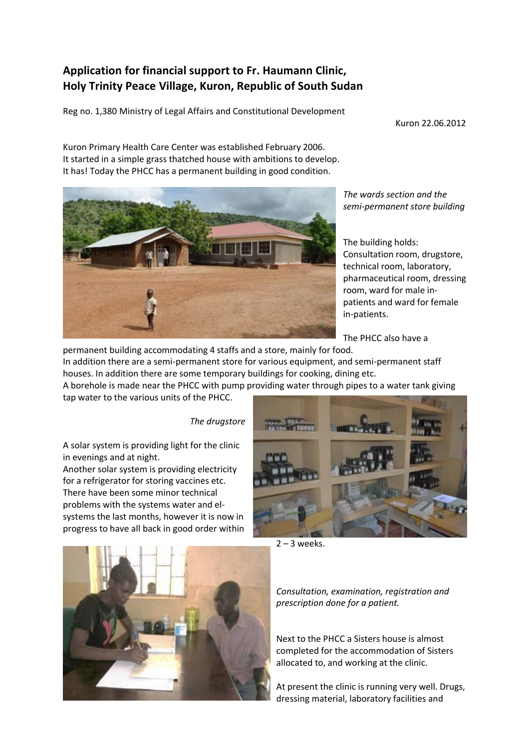## **Application for financial support to Fr. Haumann Clinic, Holy Trinity Peace Village, Kuron, Republic of South Sudan**

Reg no. 1,380 Ministry of Legal Affairs and Constitutional Development

Kuron 22.06.2012

Kuron Primary Health Care Center was established February 2006. It started in a simple grass thatched house with ambitions to develop. It has! Today the PHCC has a permanent building in good condition.



*The wards section and the semi-permanent store building*

The building holds: Consultation room, drugstore, technical room, laboratory, pharmaceutical room, dressing room, ward for male inpatients and ward for female in-patients.

The PHCC also have a

permanent building accommodating 4 staffs and a store, mainly for food. In addition there are a semi-permanent store for various equipment, and semi-permanent staff houses. In addition there are some temporary buildings for cooking, dining etc.

A borehole is made near the PHCC with pump providing water through pipes to a water tank giving tap water to the various units of the PHCC.

*The drugstore*

A solar system is providing light for the clinic in evenings and at night.

Another solar system is providing electricity for a refrigerator for storing vaccines etc. There have been some minor technical problems with the systems water and elsystems the last months, however it is now in progress to have all back in good order within



 $2 - 3$  weeks.



*Consultation, examination, registration and prescription done for a patient.*

Next to the PHCC a Sisters house is almost completed for the accommodation of Sisters allocated to, and working at the clinic.

At present the clinic is running very well. Drugs, dressing material, laboratory facilities and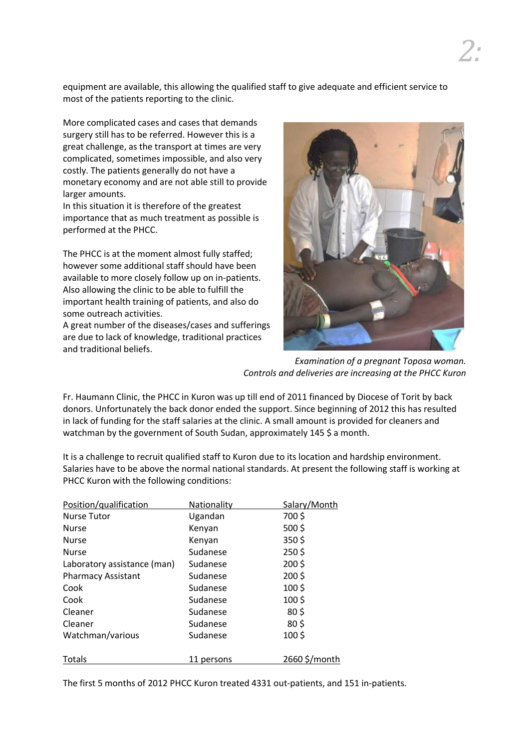equipment are available, this allowing the qualified staff to give adequate and efficient service to most of the patients reporting to the clinic.

More complicated cases and cases that demands surgery still has to be referred. However this is a great challenge, as the transport at times are very complicated, sometimes impossible, and also very costly. The patients generally do not have a monetary economy and are not able still to provide larger amounts.

In this situation it is therefore of the greatest importance that as much treatment as possible is performed at the PHCC.

The PHCC is at the moment almost fully staffed; however some additional staff should have been available to more closely follow up on in-patients. Also allowing the clinic to be able to fulfill the important health training of patients, and also do some outreach activities.

A great number of the diseases/cases and sufferings are due to lack of knowledge, traditional practices and traditional beliefs.



*Examination of a pregnant Toposa woman. Controls and deliveries are increasing at the PHCC Kuron*

Fr. Haumann Clinic, the PHCC in Kuron was up till end of 2011 financed by Diocese of Torit by back donors. Unfortunately the back donor ended the support. Since beginning of 2012 this has resulted in lack of funding for the staff salaries at the clinic. A small amount is provided for cleaners and watchman by the government of South Sudan, approximately 145 \$ a month.

It is a challenge to recruit qualified staff to Kuron due to its location and hardship environment. Salaries have to be above the normal national standards. At present the following staff is working at PHCC Kuron with the following conditions:

| Position/qualification      | Nationality | Salary/Month    |
|-----------------------------|-------------|-----------------|
| Nurse Tutor                 | Ugandan     | 700\$           |
| <b>Nurse</b>                | Kenyan      | 500\$           |
| <b>Nurse</b>                | Kenyan      | 350\$           |
| <b>Nurse</b>                | Sudanese    | 250\$           |
| Laboratory assistance (man) | Sudanese    | 200\$           |
| <b>Pharmacy Assistant</b>   | Sudanese    | 200\$           |
| Cook                        | Sudanese    | 100\$           |
| Cook                        | Sudanese    | 100\$           |
| Cleaner                     | Sudanese    | 80 <sup>5</sup> |
| Cleaner                     | Sudanese    | 80 <sup>5</sup> |
| Watchman/various            | Sudanese    | 100\$           |
| Totals                      | 11 persons  | 2660 \$/month   |

The first 5 months of 2012 PHCC Kuron treated 4331 out-patients, and 151 in-patients.